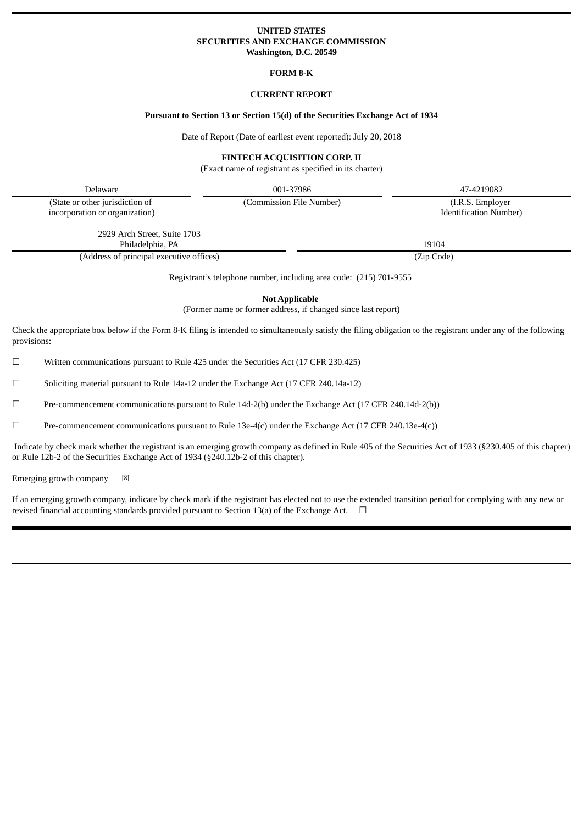# **UNITED STATES SECURITIES AND EXCHANGE COMMISSION Washington, D.C. 20549**

**FORM 8-K**

# **CURRENT REPORT**

# **Pursuant to Section 13 or Section 15(d) of the Securities Exchange Act of 1934**

Date of Report (Date of earliest event reported): July 20, 2018

# **FINTECH ACQUISITION CORP. II**

(Exact name of registrant as specified in its charter)

Delaware 001-37986 47-4219082

(State or other jurisdiction of incorporation or organization) (Commission File Number) (I.R.S. Employer

Identification Number)

2929 Arch Street, Suite 1703 Philadelphia, PA 19104

(Address of principal executive offices) (Zip Code)

Registrant's telephone number, including area code: (215) 701-9555

**Not Applicable**

(Former name or former address, if changed since last report)

Check the appropriate box below if the Form 8-K filing is intended to simultaneously satisfy the filing obligation to the registrant under any of the following provisions:

 $\Box$  Written communications pursuant to Rule 425 under the Securities Act (17 CFR 230.425)

☐ Soliciting material pursuant to Rule 14a-12 under the Exchange Act (17 CFR 240.14a-12)

 $\Box$  Pre-commencement communications pursuant to Rule 14d-2(b) under the Exchange Act (17 CFR 240.14d-2(b))

 $\Box$  Pre-commencement communications pursuant to Rule 13e-4(c) under the Exchange Act (17 CFR 240.13e-4(c))

Indicate by check mark whether the registrant is an emerging growth company as defined in Rule 405 of the Securities Act of 1933 (§230.405 of this chapter) or Rule 12b-2 of the Securities Exchange Act of 1934 (§240.12b-2 of this chapter).

Emerging growth company  $\boxtimes$ 

If an emerging growth company, indicate by check mark if the registrant has elected not to use the extended transition period for complying with any new or revised financial accounting standards provided pursuant to Section 13(a) of the Exchange Act.  $\Box$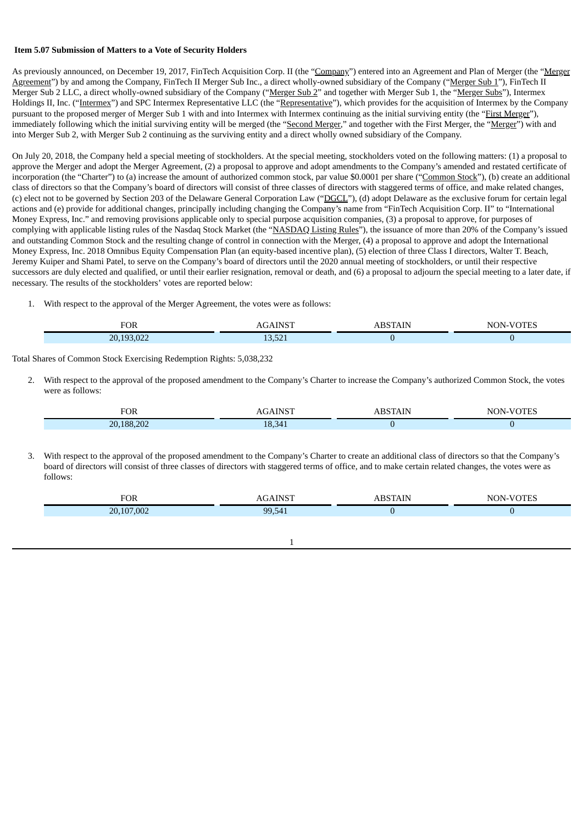### **Item 5.07 Submission of Matters to a Vote of Security Holders**

As previously announced, on December 19, 2017, FinTech Acquisition Corp. II (the "Company") entered into an Agreement and Plan of Merger (the "Merger Agreement") by and among the Company, FinTech II Merger Sub Inc., a direct wholly-owned subsidiary of the Company ("Merger Sub 1"), FinTech II Merger Sub 2 LLC, a direct wholly-owned subsidiary of the Company ("Merger Sub 2" and together with Merger Sub 1, the "Merger Subs"), Intermex Holdings II, Inc. ("Intermex") and SPC Intermex Representative LLC (the "Representative"), which provides for the acquisition of Intermex by the Company pursuant to the proposed merger of Merger Sub 1 with and into Intermex with Intermex continuing as the initial surviving entity (the "First Merger"), immediately following which the initial surviving entity will be merged (the "Second Merger," and together with the First Merger, the "Merger") with and into Merger Sub 2, with Merger Sub 2 continuing as the surviving entity and a direct wholly owned subsidiary of the Company.

On July 20, 2018, the Company held a special meeting of stockholders. At the special meeting, stockholders voted on the following matters: (1) a proposal to approve the Merger and adopt the Merger Agreement, (2) a proposal to approve and adopt amendments to the Company's amended and restated certificate of incorporation (the "Charter") to (a) increase the amount of authorized common stock, par value \$0.0001 per share ("Common Stock"), (b) create an additional class of directors so that the Company's board of directors will consist of three classes of directors with staggered terms of office, and make related changes, (c) elect not to be governed by Section 203 of the Delaware General Corporation Law ("DGCL"), (d) adopt Delaware as the exclusive forum for certain legal actions and (e) provide for additional changes, principally including changing the Company's name from "FinTech Acquisition Corp. II" to "International Money Express, Inc." and removing provisions applicable only to special purpose acquisition companies, (3) a proposal to approve, for purposes of complying with applicable listing rules of the Nasdaq Stock Market (the "NASDAQ Listing Rules"), the issuance of more than 20% of the Company's issued and outstanding Common Stock and the resulting change of control in connection with the Merger, (4) a proposal to approve and adopt the International Money Express, Inc. 2018 Omnibus Equity Compensation Plan (an equity-based incentive plan), (5) election of three Class I directors, Walter T. Beach, Jeremy Kuiper and Shami Patel, to serve on the Company's board of directors until the 2020 annual meeting of stockholders, or until their respective successors are duly elected and qualified, or until their earlier resignation, removal or death, and (6) a proposal to adjourn the special meeting to a later date, if necessary. The results of the stockholders' votes are reported below:

1. With respect to the approval of the Merger Agreement, the votes were as follows:

| <sup>7</sup> OR                      |      | N |
|--------------------------------------|------|---|
| $\Omega$<br>$\overline{\phantom{a}}$ | $-2$ |   |

Total Shares of Common Stock Exercising Redemption Rights: 5,038,232

2. With respect to the approval of the proposed amendment to the Company's Charter to increase the Company's authorized Common Stock, the votes were as follows:

| <sup>7</sup> OR |                     | - IN I<br>NT<br>. |
|-----------------|---------------------|-------------------|
| 20.188.202      | 10<br>-54<br>ェロ・レーエ |                   |

3. With respect to the approval of the proposed amendment to the Company's Charter to create an additional class of directors so that the Company's board of directors will consist of three classes of directors with staggered terms of office, and to make certain related changes, the votes were as follows:

|           |    | n |
|-----------|----|---|
| 00.<br>חר | ac |   |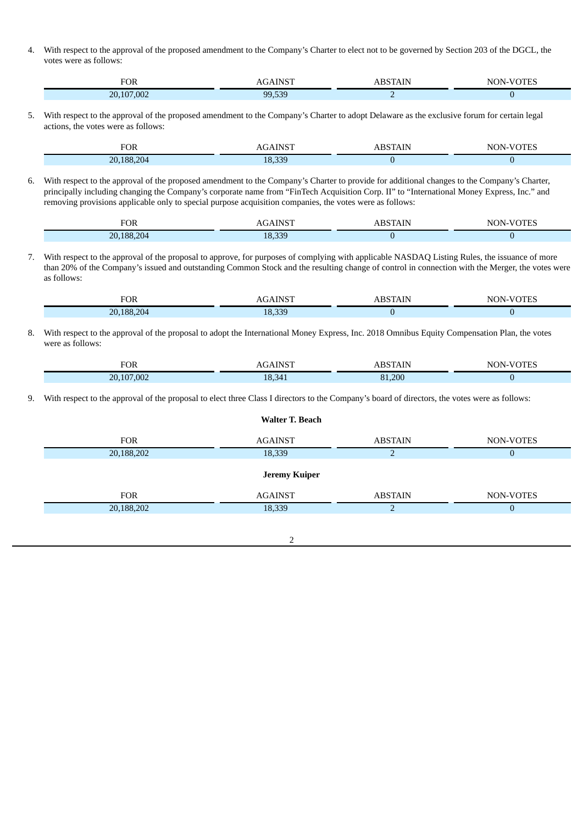4. With respect to the approval of the proposed amendment to the Company's Charter to elect not to be governed by Section 203 of the DGCL, the votes were as follows:

| OR         |           |     | NI |
|------------|-----------|-----|----|
| 20,107,002 | rno<br>aa | . . |    |

5. With respect to the approval of the proposed amendment to the Company's Charter to adopt Delaware as the exclusive forum for certain legal actions, the votes were as follows:

| TOR                                           |                             | יי י   | ъ. |
|-----------------------------------------------|-----------------------------|--------|----|
| ിറ<br>189<br>$\sim$ 20 $\mu$<br>$\sim$<br>___ | חככ<br>18<br>- - -<br>- - - | $\sim$ |    |

6. With respect to the approval of the proposed amendment to the Company's Charter to provide for additional changes to the Company's Charter, principally including changing the Company's corporate name from "FinTech Acquisition Corp. II" to "International Money Express, Inc." and removing provisions applicable only to special purpose acquisition companies, the votes were as follows:

| 50 T<br>$\sim$             |                       | NH<br>_______<br>_____ |
|----------------------------|-----------------------|------------------------|
| 20.188.<br>,,,,<br>-<br>__ | -330<br>$\Omega$<br>. |                        |

7. With respect to the approval of the proposal to approve, for purposes of complying with applicable NASDAQ Listing Rules, the issuance of more than 20% of the Company's issued and outstanding Common Stock and the resulting change of control in connection with the Merger, the votes were as follows:

| $T\cap T$<br>FOR                                 | <b>INICT</b><br>–<br>. U .<br>$\sim$ | .<br>711 | $-7000000$<br>N<br>TNL |
|--------------------------------------------------|--------------------------------------|----------|------------------------|
| 20.188.204<br>$\sim$ $\sim$ $\sim$ $\sim$ $\sim$ | 18,339                               |          |                        |

8. With respect to the approval of the proposal to adopt the International Money Express, Inc. 2018 Omnibus Equity Compensation Plan, the votes were as follows:

| <b>FOR</b> | AGAIN <sup>c</sup> | <b>DCTAIN</b> | IN.<br>ΝI<br>سىد |
|------------|--------------------|---------------|------------------|
| 20,107,002 | 18,341             | 81,200        |                  |

9. With respect to the approval of the proposal to elect three Class I directors to the Company's board of directors, the votes were as follows:

| <b>Walter T. Beach</b> |                |                |           |
|------------------------|----------------|----------------|-----------|
| <b>FOR</b>             | <b>AGAINST</b> | <b>ABSTAIN</b> | NON-VOTES |
| 20,188,202             | 18,339         | ר              | 0         |
|                        | Jeremy Kuiper  |                |           |
| <b>FOR</b>             | <b>AGAINST</b> | <b>ABSTAIN</b> | NON-VOTES |
| 20,188,202             | 18,339         | n              | 0         |
|                        |                |                |           |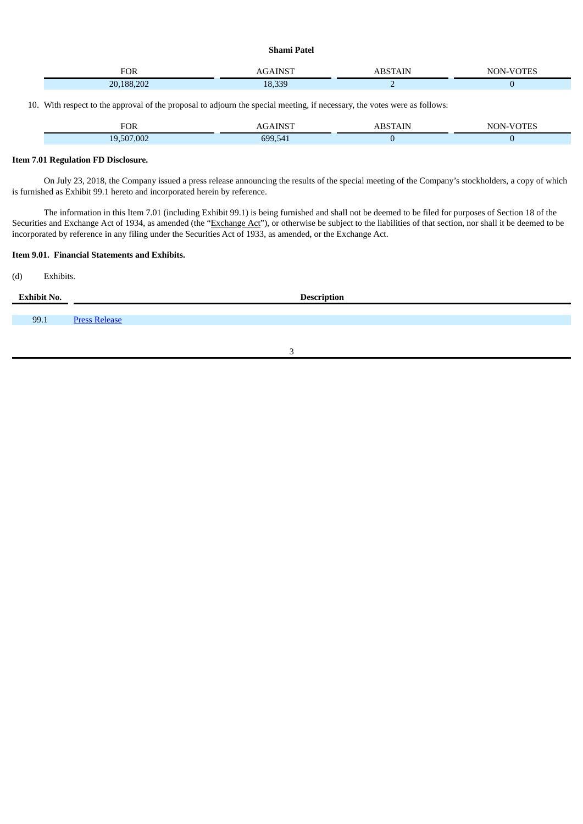**Shami Patel**

| $\sim$     | $\sim$ |   | m<br>$\sim$ |
|------------|--------|---|-------------|
| 20,188,202 | 18 339 | . |             |

10. With respect to the approval of the proposal to adjourn the special meeting, if necessary, the votes were as follows:

| FOR                             |      | A 1.<br>w<br>حەت<br>___<br>______ |
|---------------------------------|------|-----------------------------------|
| 000<br>1 Q I<br>-11<br>$'$ , UU | coo. |                                   |

# **Item 7.01 Regulation FD Disclosure.**

On July 23, 2018, the Company issued a press release announcing the results of the special meeting of the Company's stockholders, a copy of which is furnished as Exhibit 99.1 hereto and incorporated herein by reference.

The information in this Item 7.01 (including Exhibit 99.1) is being furnished and shall not be deemed to be filed for purposes of Section 18 of the Securities and Exchange Act of 1934, as amended (the "Exchange Act"), or otherwise be subject to the liabilities of that section, nor shall it be deemed to be incorporated by reference in any filing under the Securities Act of 1933, as amended, or the Exchange Act.

# **Item 9.01. Financial Statements and Exhibits.**

(d) Exhibits.

| <b>Exhibit No.</b> | <b>Description</b>   |
|--------------------|----------------------|
| 99.1               | <b>Press Release</b> |
|                    |                      |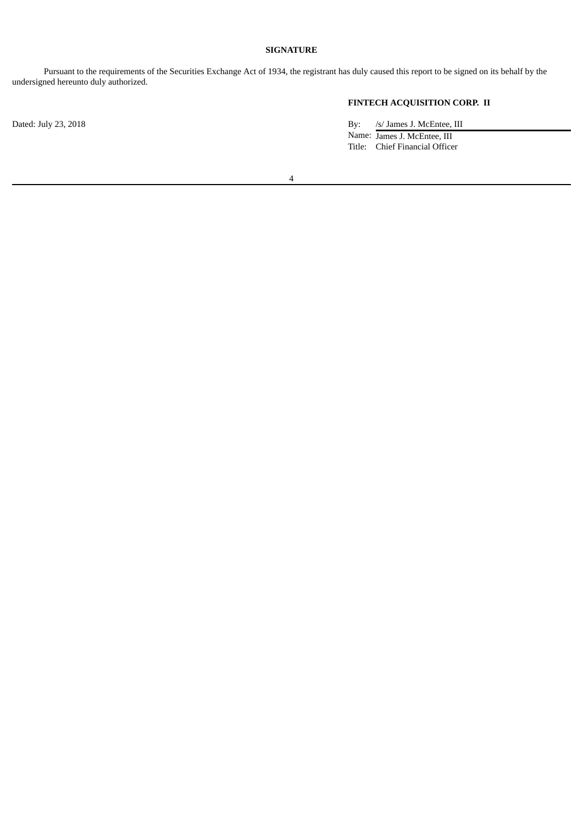# **SIGNATURE**

Pursuant to the requirements of the Securities Exchange Act of 1934, the registrant has duly caused this report to be signed on its behalf by the undersigned hereunto duly authorized.

# **FINTECH ACQUISITION CORP. II**

Dated: July 23, 2018 By: /s/ James J. McEntee, III Name: James J. McEntee, III Title: Chief Financial Officer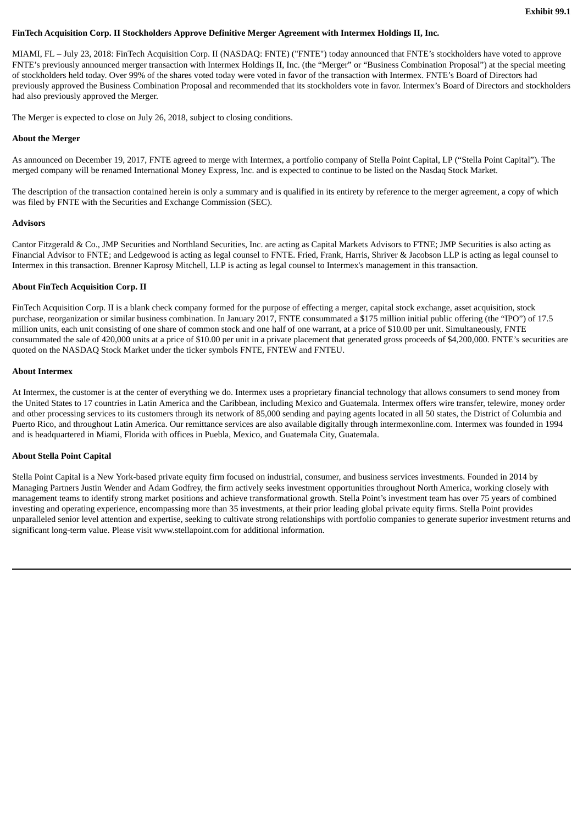### <span id="page-5-0"></span>**FinTech Acquisition Corp. II Stockholders Approve Definitive Merger Agreement with Intermex Holdings II, Inc.**

MIAMI, FL – July 23, 2018: FinTech Acquisition Corp. II (NASDAQ: FNTE) ("FNTE") today announced that FNTE's stockholders have voted to approve FNTE's previously announced merger transaction with Intermex Holdings II, Inc. (the "Merger" or "Business Combination Proposal") at the special meeting of stockholders held today. Over 99% of the shares voted today were voted in favor of the transaction with Intermex. FNTE's Board of Directors had previously approved the Business Combination Proposal and recommended that its stockholders vote in favor. Intermex's Board of Directors and stockholders had also previously approved the Merger.

The Merger is expected to close on July 26, 2018, subject to closing conditions.

### **About the Merger**

As announced on December 19, 2017, FNTE agreed to merge with Intermex, a portfolio company of Stella Point Capital, LP ("Stella Point Capital"). The merged company will be renamed International Money Express, Inc. and is expected to continue to be listed on the Nasdaq Stock Market.

The description of the transaction contained herein is only a summary and is qualified in its entirety by reference to the merger agreement, a copy of which was filed by FNTE with the Securities and Exchange Commission (SEC).

#### **Advisors**

Cantor Fitzgerald & Co., JMP Securities and Northland Securities, Inc. are acting as Capital Markets Advisors to FTNE; JMP Securities is also acting as Financial Advisor to FNTE; and Ledgewood is acting as legal counsel to FNTE. Fried, Frank, Harris, Shriver & Jacobson LLP is acting as legal counsel to Intermex in this transaction. Brenner Kaprosy Mitchell, LLP is acting as legal counsel to Intermex's management in this transaction.

### **About FinTech Acquisition Corp. II**

FinTech Acquisition Corp. II is a blank check company formed for the purpose of effecting a merger, capital stock exchange, asset acquisition, stock purchase, reorganization or similar business combination. In January 2017, FNTE consummated a \$175 million initial public offering (the "IPO") of 17.5 million units, each unit consisting of one share of common stock and one half of one warrant, at a price of \$10.00 per unit. Simultaneously, FNTE consummated the sale of 420,000 units at a price of \$10.00 per unit in a private placement that generated gross proceeds of \$4,200,000. FNTE's securities are quoted on the NASDAQ Stock Market under the ticker symbols FNTE, FNTEW and FNTEU.

### **About Intermex**

At Intermex, the customer is at the center of everything we do. Intermex uses a proprietary financial technology that allows consumers to send money from the United States to 17 countries in Latin America and the Caribbean, including Mexico and Guatemala. Intermex offers wire transfer, telewire, money order and other processing services to its customers through its network of 85,000 sending and paying agents located in all 50 states, the District of Columbia and Puerto Rico, and throughout Latin America. Our remittance services are also available digitally through intermexonline.com. Intermex was founded in 1994 and is headquartered in Miami, Florida with offices in Puebla, Mexico, and Guatemala City, Guatemala.

### **About Stella Point Capital**

Stella Point Capital is a New York-based private equity firm focused on industrial, consumer, and business services investments. Founded in 2014 by Managing Partners Justin Wender and Adam Godfrey, the firm actively seeks investment opportunities throughout North America, working closely with management teams to identify strong market positions and achieve transformational growth. Stella Point's investment team has over 75 years of combined investing and operating experience, encompassing more than 35 investments, at their prior leading global private equity firms. Stella Point provides unparalleled senior level attention and expertise, seeking to cultivate strong relationships with portfolio companies to generate superior investment returns and significant long-term value. Please visit www.stellapoint.com for additional information.